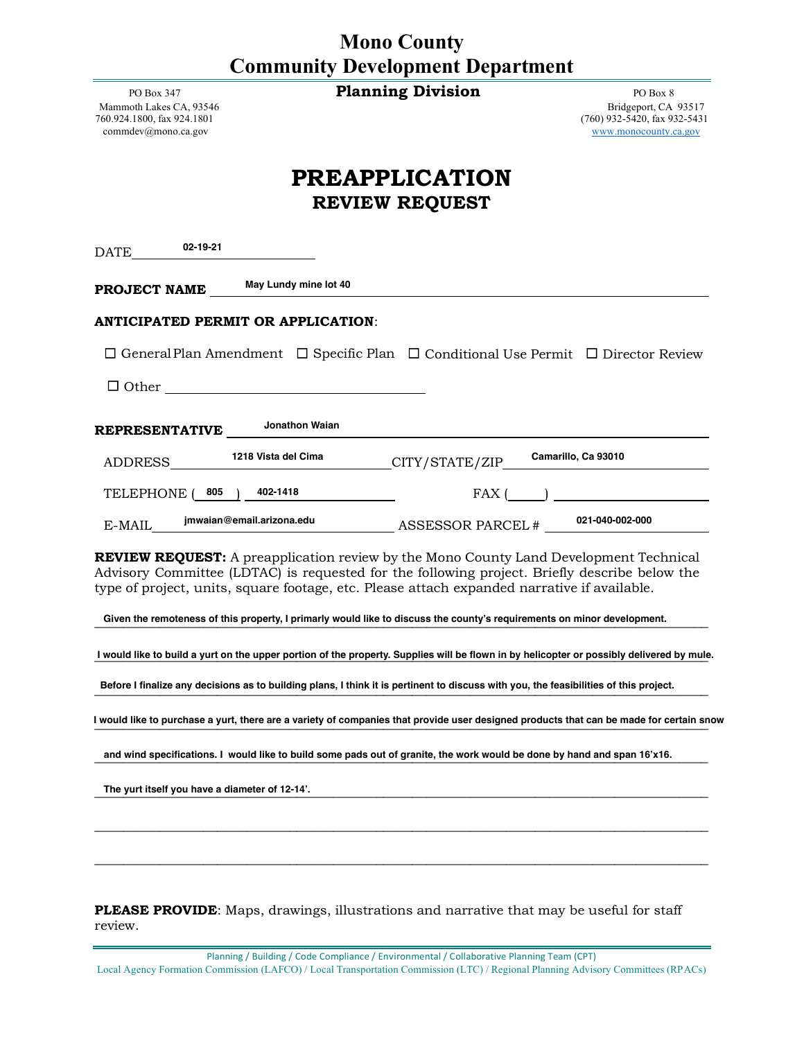|                                         | <b>Mono County</b> |  |
|-----------------------------------------|--------------------|--|
| <b>Community Development Department</b> |                    |  |

PO Box 347 **Planning Division Planning Division PO Box 8** 

[commdev@mono.ca.gov](mailto:commdev@mono.ca.gov) [www.monocounty.ca.gov](http://www.monocounty.ca.gov/)

Mammoth Lakes CA, 93546 Bridgeport, CA 93517<br>
760.924.1800, fax 924.1801 (760) 932-5420, fax 932-5431 760.924.1800, fax 924.1801 (760) 932-5420, fax 932-5431

## **PREAPPLICATION REVIEW REQUEST**

| 02-19-21<br>DATE                               |                                    |                                                                                                                                                                                                                                                                                                                                                                                                                  |                                                                                                                                                                                                                                                                                                                                        |
|------------------------------------------------|------------------------------------|------------------------------------------------------------------------------------------------------------------------------------------------------------------------------------------------------------------------------------------------------------------------------------------------------------------------------------------------------------------------------------------------------------------|----------------------------------------------------------------------------------------------------------------------------------------------------------------------------------------------------------------------------------------------------------------------------------------------------------------------------------------|
| PROJECT NAME                                   | May Lundy mine lot 40              |                                                                                                                                                                                                                                                                                                                                                                                                                  |                                                                                                                                                                                                                                                                                                                                        |
|                                                | ANTICIPATED PERMIT OR APPLICATION: |                                                                                                                                                                                                                                                                                                                                                                                                                  |                                                                                                                                                                                                                                                                                                                                        |
|                                                |                                    | $\Box$ General Plan Amendment $\Box$ Specific Plan $\Box$ Conditional Use Permit $\Box$ Director Review                                                                                                                                                                                                                                                                                                          |                                                                                                                                                                                                                                                                                                                                        |
|                                                | $\Box$ Other                       |                                                                                                                                                                                                                                                                                                                                                                                                                  |                                                                                                                                                                                                                                                                                                                                        |
| <b>REPRESENTATIVE</b>                          | Jonathon Waian                     |                                                                                                                                                                                                                                                                                                                                                                                                                  |                                                                                                                                                                                                                                                                                                                                        |
| ADDRESS                                        | 1218 Vista del Cima                | CITY/STATE/ZIP                                                                                                                                                                                                                                                                                                                                                                                                   | Camarillo, Ca 93010                                                                                                                                                                                                                                                                                                                    |
| 805<br>TELEPHONE (                             | 402-1418                           |                                                                                                                                                                                                                                                                                                                                                                                                                  | $FAX$ ( ) $\qquad$ ) $\qquad$ $\qquad$ $\qquad$ $\qquad$ $\qquad$ $\qquad$ $\qquad$ $\qquad$ $\qquad$ $\qquad$ $\qquad$ $\qquad$ $\qquad$ $\qquad$ $\qquad$ $\qquad$ $\qquad$ $\qquad$ $\qquad$ $\qquad$ $\qquad$ $\qquad$ $\qquad$ $\qquad$ $\qquad$ $\qquad$ $\qquad$ $\qquad$ $\qquad$ $\qquad$ $\qquad$ $\qquad$ $\qquad$ $\qquad$ |
| E-MAIL                                         | jmwaian@email.arizona.edu          | ASSESSOR PARCEL # 021-040-002-000                                                                                                                                                                                                                                                                                                                                                                                |                                                                                                                                                                                                                                                                                                                                        |
|                                                |                                    | REVIEW REQUEST: A preapplication review by the Mono County Land Development Technical<br>Advisory Committee (LDTAC) is requested for the following project. Briefly describe below the<br>type of project, units, square footage, etc. Please attach expanded narrative if available.<br>Given the remoteness of this property, I primarly would like to discuss the county's requirements on minor development. |                                                                                                                                                                                                                                                                                                                                        |
|                                                |                                    |                                                                                                                                                                                                                                                                                                                                                                                                                  | I would like to build a yurt on the upper portion of the property. Supplies will be flown in by helicopter or possibly delivered by mule.                                                                                                                                                                                              |
|                                                |                                    | Before I finalize any decisions as to building plans, I think it is pertinent to discuss with you, the feasibilities of this project.                                                                                                                                                                                                                                                                            |                                                                                                                                                                                                                                                                                                                                        |
|                                                |                                    |                                                                                                                                                                                                                                                                                                                                                                                                                  | I would like to purchase a yurt, there are a variety of companies that provide user designed products that can be made for certain snow                                                                                                                                                                                                |
|                                                |                                    | and wind specifications. I would like to build some pads out of granite, the work would be done by hand and span 16'x16.                                                                                                                                                                                                                                                                                         |                                                                                                                                                                                                                                                                                                                                        |
| The yurt itself you have a diameter of 12-14'. |                                    |                                                                                                                                                                                                                                                                                                                                                                                                                  |                                                                                                                                                                                                                                                                                                                                        |
|                                                |                                    |                                                                                                                                                                                                                                                                                                                                                                                                                  |                                                                                                                                                                                                                                                                                                                                        |
|                                                |                                    |                                                                                                                                                                                                                                                                                                                                                                                                                  |                                                                                                                                                                                                                                                                                                                                        |

**PLEASE PROVIDE**: Maps, drawings, illustrations and narrative that may be useful for staff review.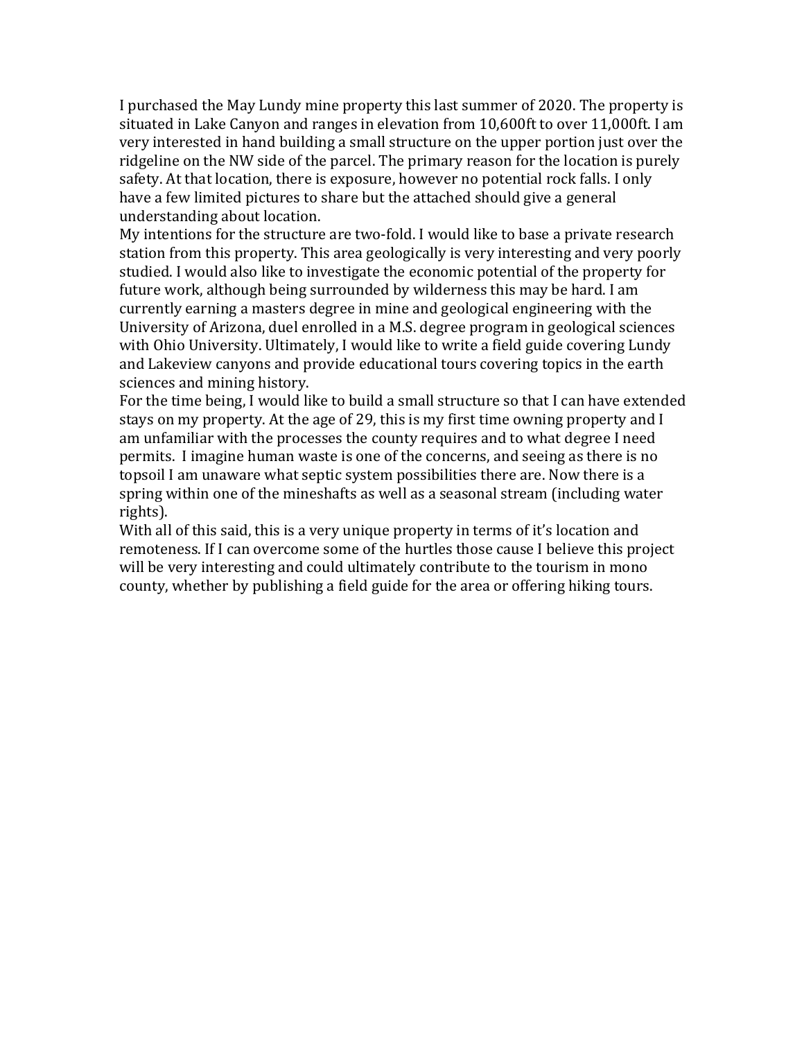I purchased the May Lundy mine property this last summer of 2020. The property is situated in Lake Canyon and ranges in elevation from 10,600ft to over 11,000ft. I am very interested in hand building a small structure on the upper portion just over the ridgeline on the NW side of the parcel. The primary reason for the location is purely safety. At that location, there is exposure, however no potential rock falls. I only have a few limited pictures to share but the attached should give a general understanding about location.

My intentions for the structure are two-fold. I would like to base a private research station from this property. This area geologically is very interesting and very poorly studied. I would also like to investigate the economic potential of the property for future work, although being surrounded by wilderness this may be hard. I am currently earning a masters degree in mine and geological engineering with the University of Arizona, duel enrolled in a M.S. degree program in geological sciences with Ohio University. Ultimately, I would like to write a field guide covering Lundy and Lakeview canyons and provide educational tours covering topics in the earth sciences and mining history.

For the time being, I would like to build a small structure so that I can have extended stays on my property. At the age of 29, this is my first time owning property and I am unfamiliar with the processes the county requires and to what degree I need permits. I imagine human waste is one of the concerns, and seeing as there is no topsoil I am unaware what septic system possibilities there are. Now there is a spring within one of the mineshafts as well as a seasonal stream (including water rights). 

With all of this said, this is a very unique property in terms of it's location and remoteness. If I can overcome some of the hurtles those cause I believe this project will be very interesting and could ultimately contribute to the tourism in mono county, whether by publishing a field guide for the area or offering hiking tours.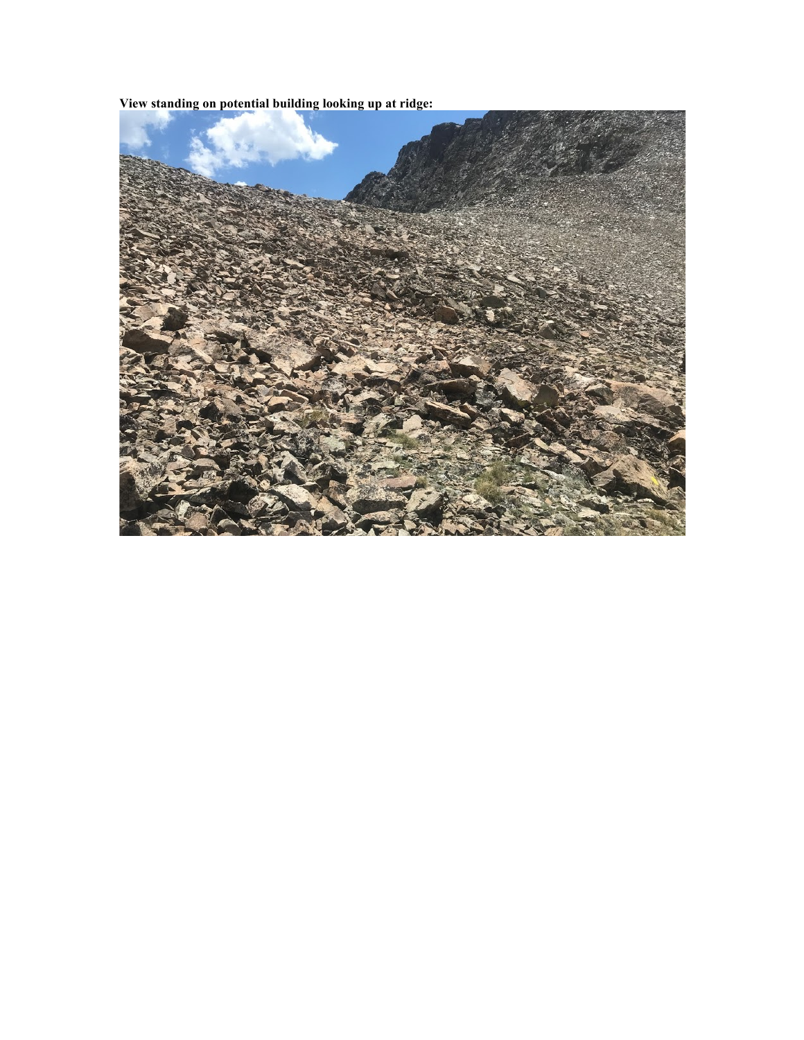**View standing on potential building looking up at ridge:**

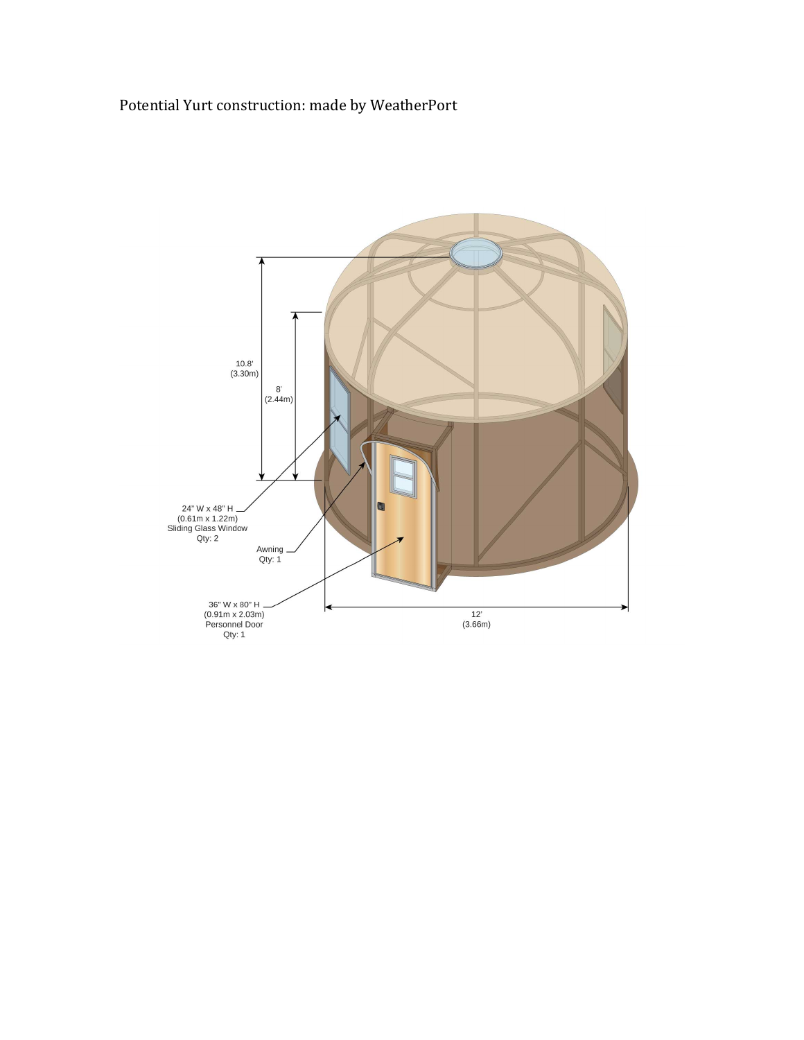## Potential Yurt construction: made by WeatherPort